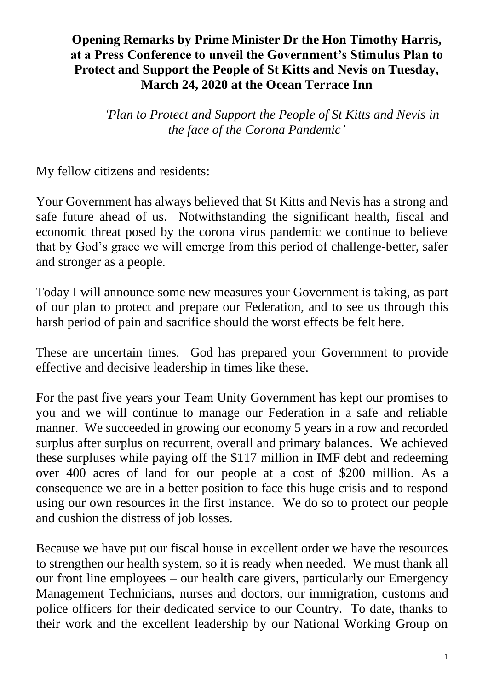### **Opening Remarks by Prime Minister Dr the Hon Timothy Harris, at a Press Conference to unveil the Government's Stimulus Plan to Protect and Support the People of St Kitts and Nevis on Tuesday, March 24, 2020 at the Ocean Terrace Inn**

*'Plan to Protect and Support the People of St Kitts and Nevis in the face of the Corona Pandemic'*

My fellow citizens and residents:

Your Government has always believed that St Kitts and Nevis has a strong and safe future ahead of us. Notwithstanding the significant health, fiscal and economic threat posed by the corona virus pandemic we continue to believe that by God's grace we will emerge from this period of challenge-better, safer and stronger as a people.

Today I will announce some new measures your Government is taking, as part of our plan to protect and prepare our Federation, and to see us through this harsh period of pain and sacrifice should the worst effects be felt here.

These are uncertain times. God has prepared your Government to provide effective and decisive leadership in times like these.

For the past five years your Team Unity Government has kept our promises to you and we will continue to manage our Federation in a safe and reliable manner. We succeeded in growing our economy 5 years in a row and recorded surplus after surplus on recurrent, overall and primary balances. We achieved these surpluses while paying off the \$117 million in IMF debt and redeeming over 400 acres of land for our people at a cost of \$200 million. As a consequence we are in a better position to face this huge crisis and to respond using our own resources in the first instance. We do so to protect our people and cushion the distress of job losses.

Because we have put our fiscal house in excellent order we have the resources to strengthen our health system, so it is ready when needed. We must thank all our front line employees – our health care givers, particularly our Emergency Management Technicians, nurses and doctors, our immigration, customs and police officers for their dedicated service to our Country. To date, thanks to their work and the excellent leadership by our National Working Group on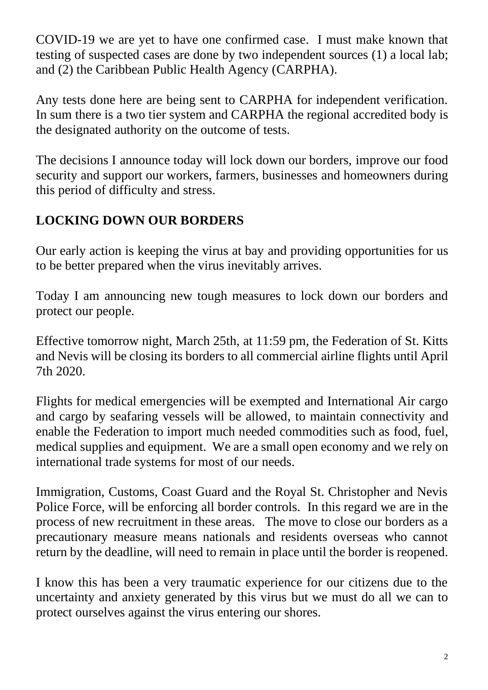COVID-19 we are yet to have one confirmed case. I must make known that testing of suspected cases are done by two independent sources (1) a local lab; and (2) the Caribbean Public Health Agency (CARPHA).

Any tests done here are being sent to CARPHA for independent verification. In sum there is a two tier system and CARPHA the regional accredited body is the designated authority on the outcome of tests.

The decisions I announce today will lock down our borders, improve our food security and support our workers, farmers, businesses and homeowners during this period of difficulty and stress.

## **LOCKING DOWN OUR BORDERS**

Our early action is keeping the virus at bay and providing opportunities for us to be better prepared when the virus inevitably arrives.

Today I am announcing new tough measures to lock down our borders and protect our people.

Effective tomorrow night, March 25th, at 11:59 pm, the Federation of St. Kitts and Nevis will be closing its borders to all commercial airline flights until April 7th 2020.

Flights for medical emergencies will be exempted and International Air cargo and cargo by seafaring vessels will be allowed, to maintain connectivity and enable the Federation to import much needed commodities such as food, fuel, medical supplies and equipment. We are a small open economy and we rely on international trade systems for most of our needs.

Immigration, Customs, Coast Guard and the Royal St. Christopher and Nevis Police Force, will be enforcing all border controls. In this regard we are in the process of new recruitment in these areas. The move to close our borders as a precautionary measure means nationals and residents overseas who cannot return by the deadline, will need to remain in place until the border is reopened.

I know this has been a very traumatic experience for our citizens due to the uncertainty and anxiety generated by this virus but we must do all we can to protect ourselves against the virus entering our shores.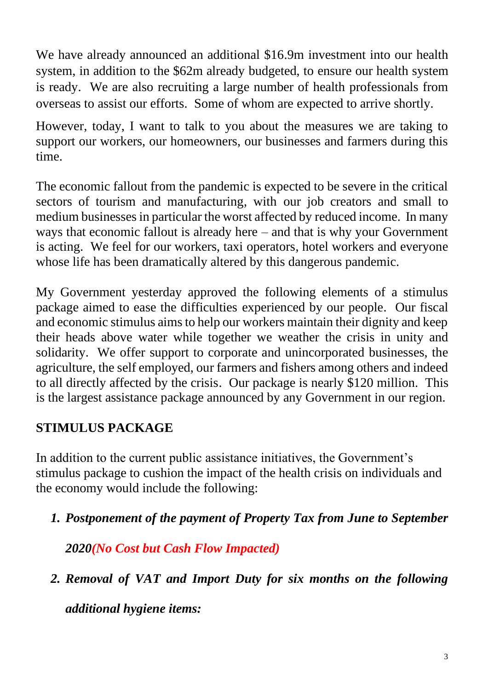We have already announced an additional \$16.9m investment into our health system, in addition to the \$62m already budgeted, to ensure our health system is ready. We are also recruiting a large number of health professionals from overseas to assist our efforts. Some of whom are expected to arrive shortly.

However, today, I want to talk to you about the measures we are taking to support our workers, our homeowners, our businesses and farmers during this time.

The economic fallout from the pandemic is expected to be severe in the critical sectors of tourism and manufacturing, with our job creators and small to medium businesses in particular the worst affected by reduced income. In many ways that economic fallout is already here – and that is why your Government is acting. We feel for our workers, taxi operators, hotel workers and everyone whose life has been dramatically altered by this dangerous pandemic.

My Government yesterday approved the following elements of a stimulus package aimed to ease the difficulties experienced by our people. Our fiscal and economic stimulus aims to help our workers maintain their dignity and keep their heads above water while together we weather the crisis in unity and solidarity. We offer support to corporate and unincorporated businesses, the agriculture, the self employed, our farmers and fishers among others and indeed to all directly affected by the crisis. Our package is nearly \$120 million. This is the largest assistance package announced by any Government in our region.

## **STIMULUS PACKAGE**

In addition to the current public assistance initiatives, the Government's stimulus package to cushion the impact of the health crisis on individuals and the economy would include the following:

*1. Postponement of the payment of Property Tax from June to September* 

*2020(No Cost but Cash Flow Impacted)*

*2. Removal of VAT and Import Duty for six months on the following* 

*additional hygiene items:*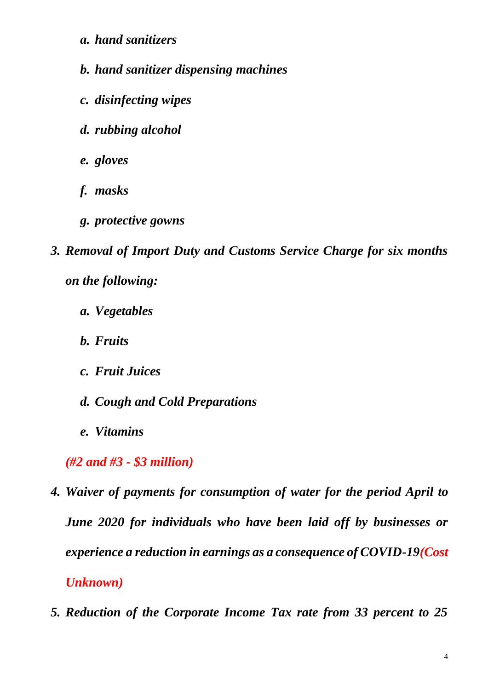- *a. hand sanitizers*
- *b. hand sanitizer dispensing machines*
- *c. disinfecting wipes*
- *d. rubbing alcohol*
- *e. gloves*
- *f. masks*
- *g. protective gowns*
- *3. Removal of Import Duty and Customs Service Charge for six months on the following:*
	- *a. Vegetables*
	- *b. Fruits*
	- *c. Fruit Juices*
	- *d. Cough and Cold Preparations*
	- *e. Vitamins*

*(#2 and #3 - \$3 million)*

- *4. Waiver of payments for consumption of water for the period April to June 2020 for individuals who have been laid off by businesses or experience a reduction in earnings as a consequence of COVID-19(Cost Unknown)*
- *5. Reduction of the Corporate Income Tax rate from 33 percent to 25*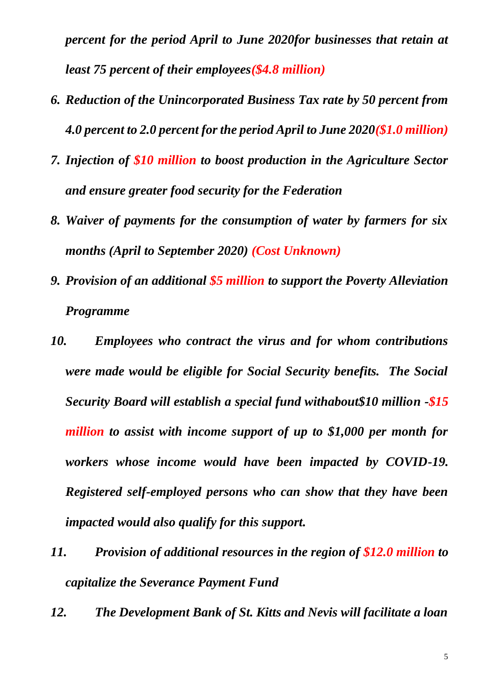*percent for the period April to June 2020for businesses that retain at least 75 percent of their employees(\$4.8 million)*

- *6. Reduction of the Unincorporated Business Tax rate by 50 percent from 4.0 percent to 2.0 percent for the period April to June 2020(\$1.0 million)*
- *7. Injection of \$10 million to boost production in the Agriculture Sector and ensure greater food security for the Federation*
- *8. Waiver of payments for the consumption of water by farmers for six months (April to September 2020) (Cost Unknown)*
- *9. Provision of an additional \$5 million to support the Poverty Alleviation Programme*
- *10. Employees who contract the virus and for whom contributions were made would be eligible for Social Security benefits. The Social Security Board will establish a special fund withabout\$10 million -\$15 million to assist with income support of up to \$1,000 per month for workers whose income would have been impacted by COVID-19. Registered self-employed persons who can show that they have been impacted would also qualify for this support.*
- *11. Provision of additional resources in the region of \$12.0 million to capitalize the Severance Payment Fund*
- *12. The Development Bank of St. Kitts and Nevis will facilitate a loan*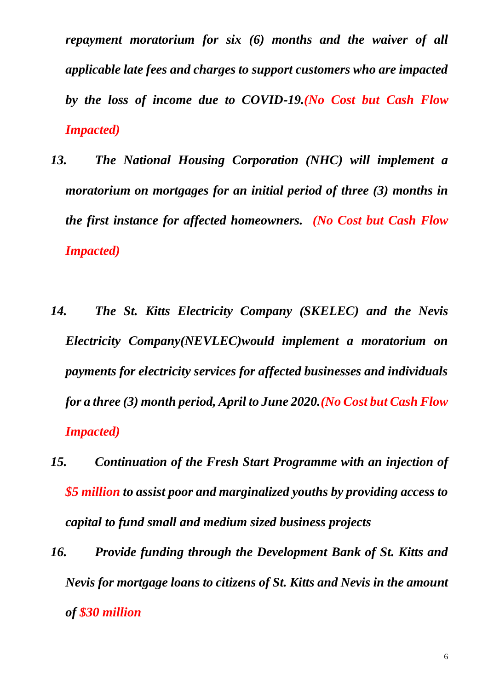*repayment moratorium for six (6) months and the waiver of all applicable late fees and charges to support customers who are impacted by the loss of income due to COVID-19.(No Cost but Cash Flow Impacted)*

- *13. The National Housing Corporation (NHC) will implement a moratorium on mortgages for an initial period of three (3) months in the first instance for affected homeowners. (No Cost but Cash Flow Impacted)*
- *14. The St. Kitts Electricity Company (SKELEC) and the Nevis Electricity Company(NEVLEC)would implement a moratorium on payments for electricity services for affected businesses and individuals for a three (3) month period, April to June 2020.(No Cost but Cash Flow Impacted)*
- *15. Continuation of the Fresh Start Programme with an injection of \$5 million to assist poor and marginalized youths by providing access to capital to fund small and medium sized business projects*
- *16. Provide funding through the Development Bank of St. Kitts and Nevis for mortgage loans to citizens of St. Kitts and Nevis in the amount of \$30 million*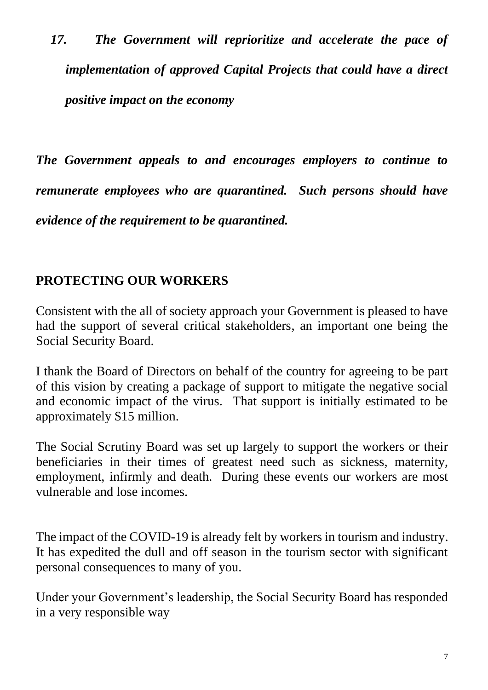*17. The Government will reprioritize and accelerate the pace of implementation of approved Capital Projects that could have a direct positive impact on the economy* 

*The Government appeals to and encourages employers to continue to remunerate employees who are quarantined. Such persons should have evidence of the requirement to be quarantined.*

### **PROTECTING OUR WORKERS**

Consistent with the all of society approach your Government is pleased to have had the support of several critical stakeholders, an important one being the Social Security Board.

I thank the Board of Directors on behalf of the country for agreeing to be part of this vision by creating a package of support to mitigate the negative social and economic impact of the virus. That support is initially estimated to be approximately \$15 million.

The Social Scrutiny Board was set up largely to support the workers or their beneficiaries in their times of greatest need such as sickness, maternity, employment, infirmly and death. During these events our workers are most vulnerable and lose incomes.

The impact of the COVID-19 is already felt by workers in tourism and industry. It has expedited the dull and off season in the tourism sector with significant personal consequences to many of you.

Under your Government's leadership, the Social Security Board has responded in a very responsible way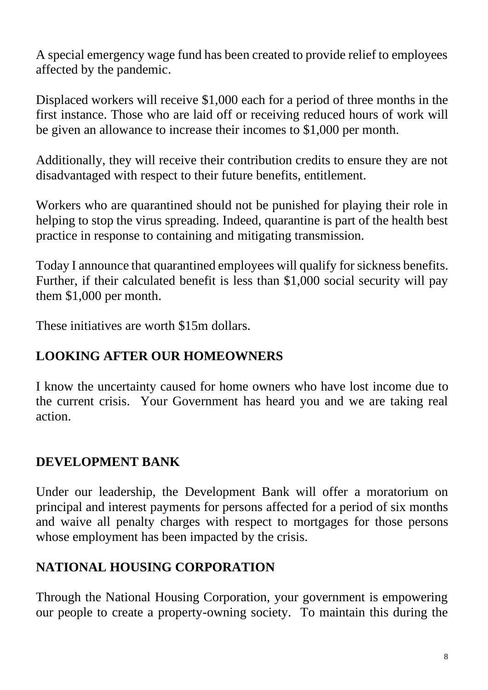A special emergency wage fund has been created to provide relief to employees affected by the pandemic.

Displaced workers will receive \$1,000 each for a period of three months in the first instance. Those who are laid off or receiving reduced hours of work will be given an allowance to increase their incomes to \$1,000 per month.

Additionally, they will receive their contribution credits to ensure they are not disadvantaged with respect to their future benefits, entitlement.

Workers who are quarantined should not be punished for playing their role in helping to stop the virus spreading. Indeed, quarantine is part of the health best practice in response to containing and mitigating transmission.

Today I announce that quarantined employees will qualify for sickness benefits. Further, if their calculated benefit is less than \$1,000 social security will pay them \$1,000 per month.

These initiatives are worth \$15m dollars.

# **LOOKING AFTER OUR HOMEOWNERS**

I know the uncertainty caused for home owners who have lost income due to the current crisis. Your Government has heard you and we are taking real action.

## **DEVELOPMENT BANK**

Under our leadership, the Development Bank will offer a moratorium on principal and interest payments for persons affected for a period of six months and waive all penalty charges with respect to mortgages for those persons whose employment has been impacted by the crisis.

## **NATIONAL HOUSING CORPORATION**

Through the National Housing Corporation, your government is empowering our people to create a property-owning society. To maintain this during the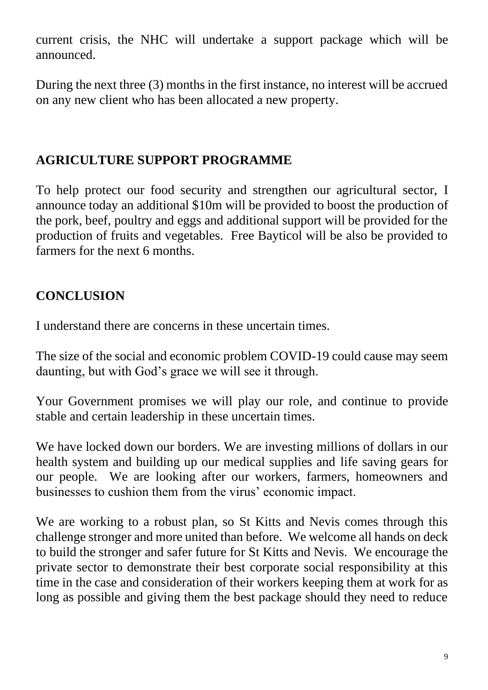current crisis, the NHC will undertake a support package which will be announced.

During the next three (3) months in the first instance, no interest will be accrued on any new client who has been allocated a new property.

### **AGRICULTURE SUPPORT PROGRAMME**

To help protect our food security and strengthen our agricultural sector, I announce today an additional \$10m will be provided to boost the production of the pork, beef, poultry and eggs and additional support will be provided for the production of fruits and vegetables. Free Bayticol will be also be provided to farmers for the next 6 months.

## **CONCLUSION**

I understand there are concerns in these uncertain times.

The size of the social and economic problem COVID-19 could cause may seem daunting, but with God's grace we will see it through.

Your Government promises we will play our role, and continue to provide stable and certain leadership in these uncertain times.

We have locked down our borders. We are investing millions of dollars in our health system and building up our medical supplies and life saving gears for our people. We are looking after our workers, farmers, homeowners and businesses to cushion them from the virus' economic impact.

We are working to a robust plan, so St Kitts and Nevis comes through this challenge stronger and more united than before. We welcome all hands on deck to build the stronger and safer future for St Kitts and Nevis. We encourage the private sector to demonstrate their best corporate social responsibility at this time in the case and consideration of their workers keeping them at work for as long as possible and giving them the best package should they need to reduce